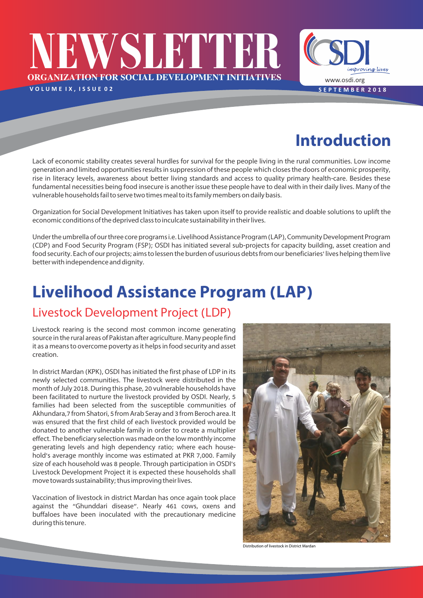# **ORGANIZATION FOR SOCIAL DEVELOPMENT INITIATIVES NEWSLETTER** VOLUME IX, ISSUE 02 SEPTEMBER 2018

**Introduction**

www.osdi.org

improving lives

Lack of economic stability creates several hurdles for survival for the people living in the rural communities. Low income generation and limited opportunities results in suppression of these people which closes the doors of economic prosperity, rise in literacy levels, awareness about better living standards and access to quality primary health-care. Besides these fundamental necessities being food insecure is another issue these people have to deal with in their daily lives. Many of the vulnerable households fail to serve two times meal to its family members on daily basis.

Organization for Social Development Initiatives has taken upon itself to provide realistic and doable solutions to uplift the economic conditions of the deprived class to inculcate sustainability in their lives.

Under the umbrella of our three core programs i.e. Livelihood Assistance Program (LAP), Community Development Program (CDP) and Food Security Program (FSP); OSDI has initiated several sub-projects for capacity building, asset creation and food security. Each of our projects; aims to lessen the burden of usurious debts from our beneficiaries' lives helping them live better with independence and dignity.

## **Livelihood Assistance Program (LAP)**

#### Livestock Development Project (LDP)

Livestock rearing is the second most common income generating source in the rural areas of Pakistan after agriculture. Many people find it as a means to overcome poverty as it helps in food security and asset creation.

In district Mardan (KPK), OSDI has initiated the first phase of LDP in its newly selected communities. The livestock were distributed in the month of July 2018. During this phase, 20 vulnerable households have been facilitated to nurture the livestock provided by OSDI. Nearly, 5 families had been selected from the susceptible communities of Akhundara,7 from Shatori, 5 from Arab Seray and 3 from Beroch area. It was ensured that the first child of each livestock provided would be donated to another vulnerable family in order to create a multiplier effect. The beneficiary selection was made on the low monthly income generating levels and high dependency ratio; where each household's average monthly income was estimated at PKR 7,000. Family size of each household was 8 people. Through participation in OSDI's Livestock Development Project it is expected these households shall move towards sustainability; thus improving their lives.

Vaccination of livestock in district Mardan has once again took place against the "Ghunddari disease". Nearly 461 cows, oxens and buffaloes have been inoculated with the precautionary medicine during this tenure.



Distribution of livestock in District Mardan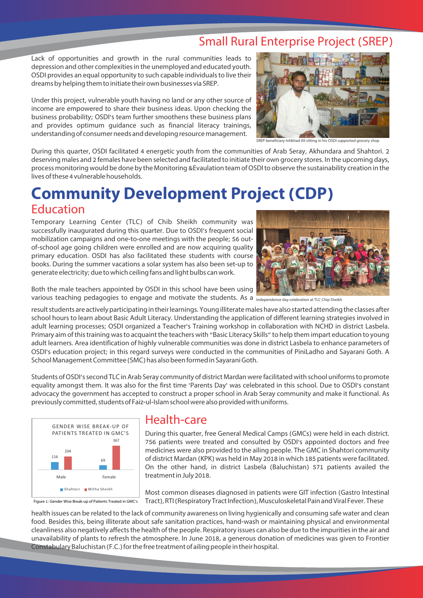## Small Rural Enterprise Project (SREP)

Lack of opportunities and growth in the rural communities leads to depression and other complexities in the unemployed and educated youth. OSDI provides an equal opportunity to such capable individuals to live their dreams by helping them to initiate their own businesses via SREP.

Under this project, vulnerable youth having no land or any other source of income are empowered to share their business ideas. Upon checking the business probability; OSDI's team further smoothens these business plans and provides optimum guidance such as financial literacy trainings, understanding of consumer needs and developing resource management.



SREP beneficiary Intikhad Ali sitting in his OSDI supported grocery shop

During this quarter, OSDI facilitated 4 energetic youth from the communities of Arab Seray, Akhundara and Shahtori. 2 deserving males and 2 females have been selected and facilitated to initiate their own grocery stores. In the upcoming days, process monitoring would be done by the Monitoring &Evaulation team of OSDI to observe the sustainability creation in the lives of these 4 vulnerable households.

## **Community Development Project (CDP)** Education

Temporary Learning Center (TLC) of Chib Sheikh community was successfully inaugurated during this quarter. Due to OSDI's frequent social mobilization campaigns and one-to-one meetings with the people; 56 outof-school age going children were enrolled and are now acquiring quality primary education. OSDI has also facilitated these students with course books. During the summer vacations a solar system has also been set-up to generate electricity; due to which ceiling fans and light bulbs can work.



Both the male teachers appointed by OSDI in this school have been using Various teaching pedagogies to engage and motivate the students. As a mdependence day celebration at TLC Chip Sheikh

result students are actively participating in their learnings. Young illiterate males have also started attending the classes after school hours to learn about Basic Adult Literacy. Understanding the application of different learning strategies involved in adult learning processes; OSDI organized a Teacher's Training workshop in collaboration with NCHD in district Lasbela. Primary aim of this training was to acquaint the teachers with "Basic Literacy Skills" to help them impart education to young adult learners. Area identification of highly vulnerable communities was done in district Lasbela to enhance parameters of OSDI's education project; in this regard surveys were conducted in the communities of PiniLadho and Sayarani Goth. A School Management Committee (SMC) has also been formed in Sayarani Goth.

Students of OSDI's second TLC in Arab Seray community of district Mardan were facilitated with school uniforms to promote equality amongst them. It was also for the first time 'Parents Day' was celebrated in this school. Due to OSDI's constant advocacy the government has accepted to construct a proper school in Arab Seray community and make it functional. As previously committed, students of Faiz-ul-Islam school were also provided with uniforms.



Figure 1: Gender Wise Break-up of Patients Treated in GMC's

#### Health-care

During this quarter, free General Medical Camps (GMCs) were held in each district. 756 patients were treated and consulted by OSDI's appointed doctors and free medicines were also provided to the ailing people. The GMC in Shahtori community of district Mardan (KPK) was held in May 2018 in which 185 patients were facilitated. On the other hand, in district Lasbela (Baluchistan) 571 patients availed the treatment in July 2018.

Most common diseases diagnosed in patients were GIT infection (Gastro Intestinal Tract), RTI (Respiratory Tract Infection), Musculoskeletal Pain and Viral Fever. These

health issues can be related to the lack of community awareness on living hygienically and consuming safe water and clean food. Besides this, being illiterate about safe sanitation practices, hand-wash or maintaining physical and environmental cleanliness also negatively affects the health of the people. Respiratory issues can also be due to the impurities in the air and unavailability of plants to refresh the atmosphere. In June 2018, a generous donation of medicines was given to Frontier Constabulary Baluchistan (F.C.) for the free treatment of ailing people in their hospital.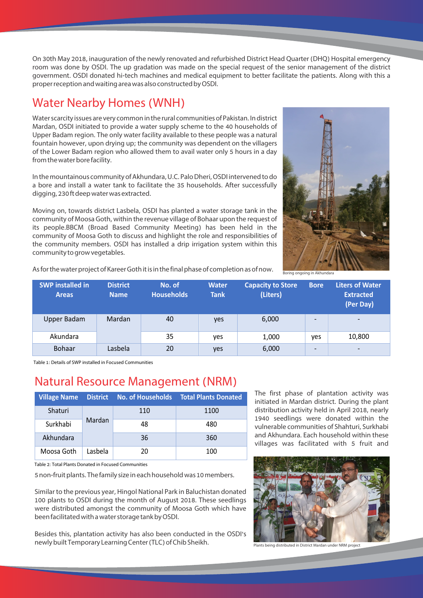On 30th May 2018, inauguration of the newly renovated and refurbished District Head Quarter (DHQ) Hospital emergency room was done by OSDI. The up gradation was made on the special request of the senior management of the district government. OSDI donated hi-tech machines and medical equipment to better facilitate the patients. Along with this a proper reception and waiting area was also constructed by OSDI.

### Water Nearby Homes (WNH)

Water scarcity issues are very common in the rural communities of Pakistan. In district Mardan, OSDI initiated to provide a water supply scheme to the 40 households of Upper Badam region. The only water facility available to these people was a natural fountain however, upon drying up; the community was dependent on the villagers of the Lower Badam region who allowed them to avail water only 5 hours in a day from the water bore facility.

In the mountainous community of Akhundara, U.C. Palo Dheri, OSDI intervened to do a bore and install a water tank to facilitate the 35 households. After successfully digging, 230 ft deep water was extracted.

Moving on, towards district Lasbela, OSDI has planted a water storage tank in the community of Moosa Goth, within the revenue village of Bohaar upon the request of its people.BBCM (Broad Based Community Meeting) has been held in the community of Moosa Goth to discuss and highlight the role and responsibilities of the community members. OSDI has installed a drip irrigation system within this community to grow vegetables.



As for the water project of Kareer Goth it is in the final phase of completion as of now.

| <b>SWP</b> installed in<br><b>Areas</b> | <b>District</b><br><b>Name</b> | No. of<br><b>Households</b> | <b>Water</b><br><b>Tank</b> | <b>Capacity to Store</b><br>(Liters) | <b>Bore</b>              | <b>Liters of Water</b><br><b>Extracted</b><br>(Per Day) |
|-----------------------------------------|--------------------------------|-----------------------------|-----------------------------|--------------------------------------|--------------------------|---------------------------------------------------------|
| Upper Badam                             | Mardan                         | 40                          | yes                         | 6,000                                |                          | $\overline{\phantom{0}}$                                |
| Akundara                                |                                | 35                          | yes                         | 1,000                                | ves                      | 10,800                                                  |
| <b>Bohaar</b>                           | Lasbela                        | 20                          | yes                         | 6,000                                | $\overline{\phantom{0}}$ | $\overline{\phantom{0}}$                                |

Table 1: Details of SWP installed in Focused Communities

#### Natural Resource Management (NRM)

| <b>Village Name</b> |         |     | <b>District No. of Households Total Plants Donated</b> |
|---------------------|---------|-----|--------------------------------------------------------|
| Shaturi             |         | 110 | 1100                                                   |
| Surkhabi            | Mardan  | 48  | 480                                                    |
| Akhundara           |         | 36  | 360                                                    |
| Moosa Goth          | Lasbela | 20  | 100                                                    |

Table 2: Total Plants Donated in Focused Communities

5 non-fruit plants. The family size in each household was 10 members.

Similar to the previous year, Hingol National Park in Baluchistan donated 100 plants to OSDI during the month of August 2018. These seedlings were distributed amongst the community of Moosa Goth which have been facilitated with a water storage tank by OSDI.

Besides this, plantation activity has also been conducted in the OSDI's newly built Temporary Learning Center (TLC) of Chib Sheikh.

The first phase of plantation activity was initiated in Mardan district. During the plant distribution activity held in April 2018, nearly 1940 seedlings were donated within the vulnerable communities of Shahturi, Surkhabi and Akhundara. Each household within these villages was facilitated with 5 fruit and



Plants being distributed in District Mardan under NRM project